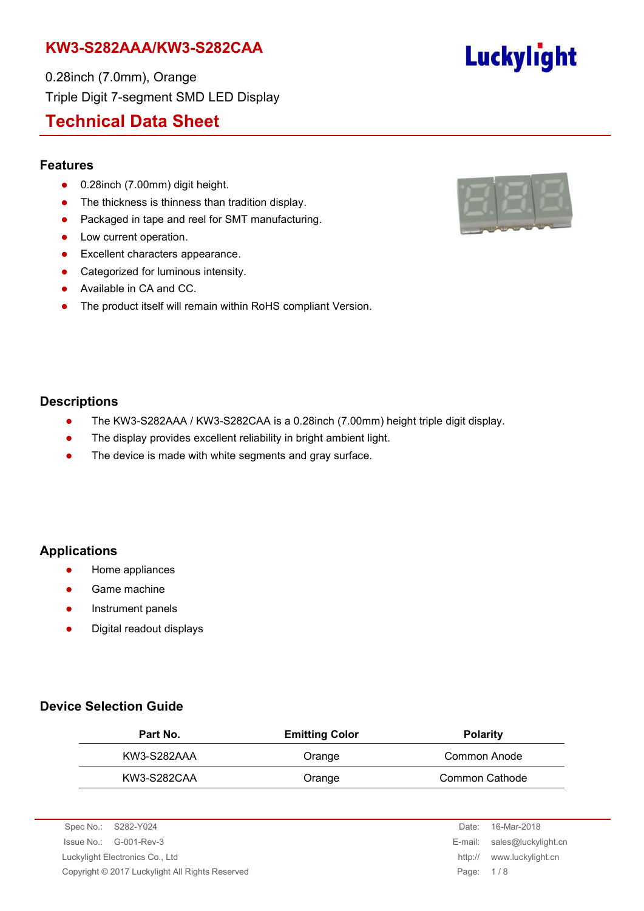0.28inch (7.0mm), Orange Triple Digit 7-segment SMD LED Display

## **Technical Data Sheet**

#### **Features**

- 0.28inch (7.00mm) digit height.
- The thickness is thinness than tradition display.
- Packaged in tape and reel for SMT manufacturing.
- Low current operation.
- **•** Excellent characters appearance.
- Categorized for luminous intensity.
- Available in CA and CC.
- The product itself will remain within RoHS compliant Version.



**Luckylight** 

### **Descriptions**

- The KW3-S282AAA / KW3-S282CAA is a 0.28inch (7.00mm) height triple digit display.
- The display provides excellent reliability in bright ambient light.
- The device is made with white segments and gray surface.

## **Applications**

- **•** Home appliances
- Game machine
- Instrument panels
- Digital readout displays

## **Device Selection Guide**

| Part No.    | <b>Emitting Color</b> | <b>Polarity</b> |
|-------------|-----------------------|-----------------|
| KW3-S282AAA | Orange                | Common Anode    |
| KW3-S282CAA | Orange                | Common Cathode  |

| Spec No.: S282-Y024                             | Date:     | 16-Mar-2018                 |
|-------------------------------------------------|-----------|-----------------------------|
| $\sue No.: \, G-001-Rev-3$                      |           | E-mail: sales@luckylight.cn |
| Luckylight Electronics Co., Ltd                 |           | http:// www.luckylight.cn   |
| Copyright © 2017 Luckylight All Rights Reserved | Page: 1/8 |                             |
|                                                 |           |                             |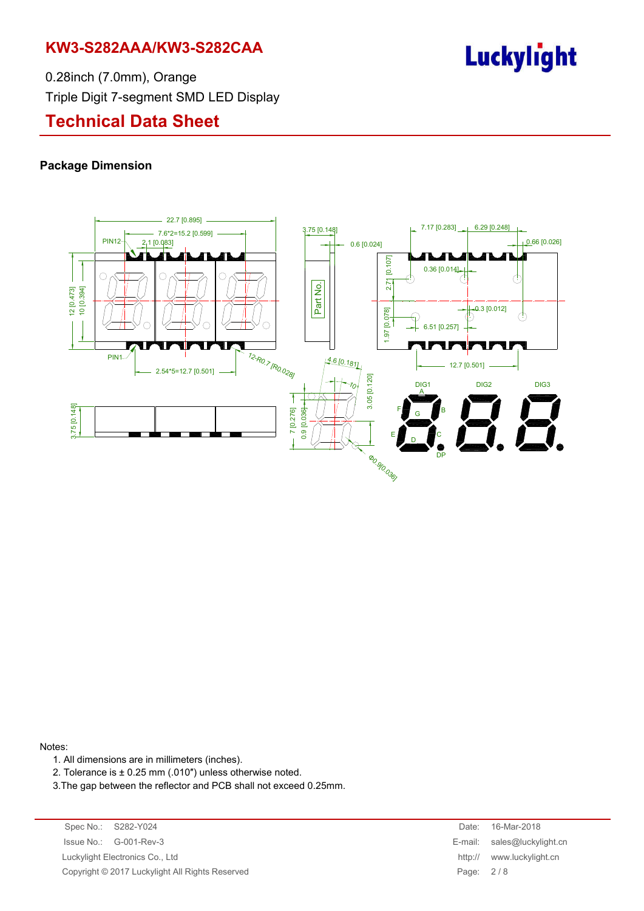# Luckylight

0.28inch (7.0mm), Orange Triple Digit 7-segment SMD LED Display

# **Technical Data Sheet**

#### **Package Dimension**



#### Notes:

- 1. All dimensions are in millimeters (inches).
- 2. Tolerance is ± 0.25 mm (.010″) unless otherwise noted.
- 3.The gap between the reflector and PCB shall not exceed 0.25mm.

Spec No.: S282-Y024 Date: 16-Mar-2018 Issue No.: G-001-Rev-3 E-mail: sales@luckylight.cn Luckylight Electronics Co., Ltd **http:// www.luckylight.cn** Copyright © 2017 Luckylight All Rights Reserved Page: 2/8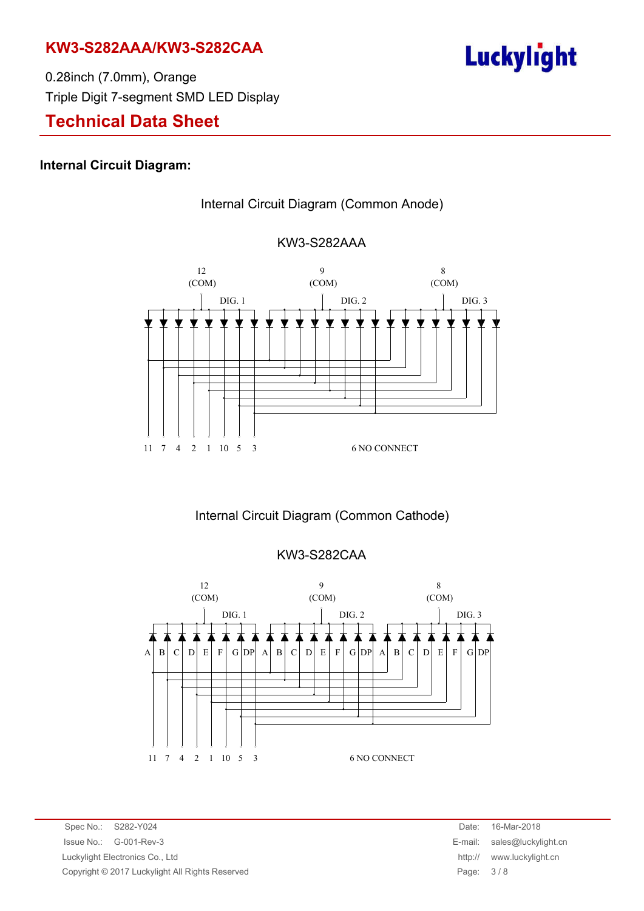

0.28inch (7.0mm), Orange Triple Digit 7-segment SMD LED Display

# **Technical Data Sheet**

### **Internal Circuit Diagram:**







Internal Circuit Diagram (Common Cathode)

## KW3-S282CAA



Spec No.: S282-Y024 **Date: 16-Mar-2018** Issue No.: G-001-Rev-3 E-mail: sales@luckylight.cn Luckylight Electronics Co., Ltd **http:// www.luckylight.cn** Copyright © 2017 Luckylight All Rights Reserved Page: 3 / 8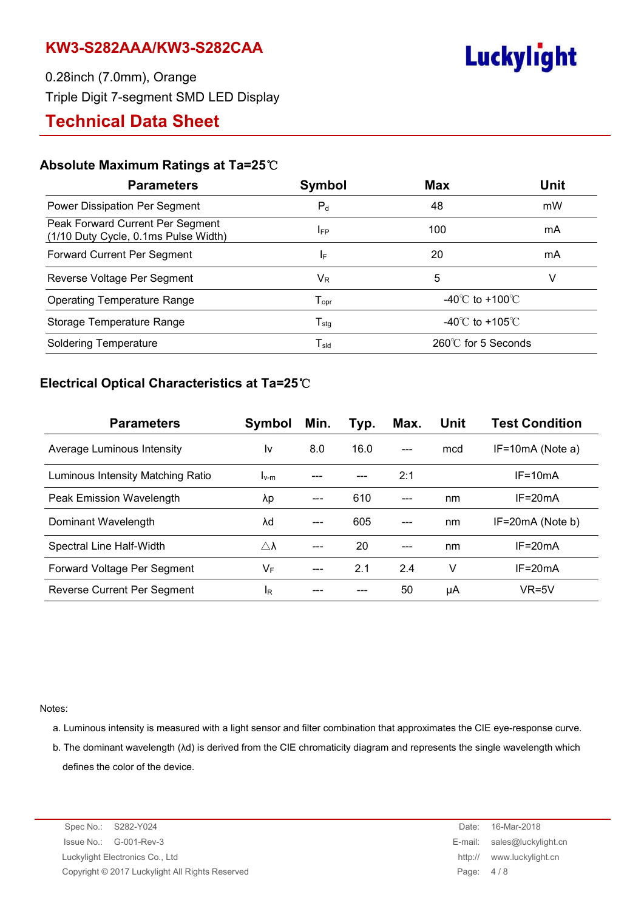

0.28inch (7.0mm), Orange Triple Digit 7-segment SMD LED Display

# **Technical Data Sheet**

### **Absolute Maximum Ratings at Ta=25**℃

| <b>Parameters</b>                                                        | Symbol                       | <b>Max</b>                          | <b>Unit</b> |
|--------------------------------------------------------------------------|------------------------------|-------------------------------------|-------------|
| Power Dissipation Per Segment                                            | $P_d$                        | 48                                  | mW          |
| Peak Forward Current Per Segment<br>(1/10 Duty Cycle, 0.1ms Pulse Width) | <b>IFP</b>                   | 100                                 | mA          |
| Forward Current Per Segment                                              | IF.                          | 20                                  | mA          |
| Reverse Voltage Per Segment                                              | $\mathsf{V}_\mathsf{R}$      | 5                                   | V           |
| <b>Operating Temperature Range</b>                                       | ${\mathsf T}_{\mathsf{opr}}$ | $-40^{\circ}$ C to $+100^{\circ}$ C |             |
| Storage Temperature Range                                                | $T_{\text{stg}}$             | -40 $\degree$ C to +105 $\degree$ C |             |
| <b>Soldering Temperature</b>                                             | ${\mathsf T}_{\textsf{sld}}$ | $260^{\circ}$ for 5 Seconds         |             |

## **Electrical Optical Characteristics at Ta=25**℃

| <b>Parameters</b>                 | Symbol              | Min. | Typ. | Max.  | <b>Unit</b> | <b>Test Condition</b> |
|-----------------------------------|---------------------|------|------|-------|-------------|-----------------------|
| Average Luminous Intensity        | I٧                  | 8.0  | 16.0 |       | mcd         | $IF=10mA$ (Note a)    |
| Luminous Intensity Matching Ratio | $I_{V-m}$           |      |      | 2:1   |             | $IF = 10mA$           |
| Peak Emission Wavelength          | λp                  | ---  | 610  | $---$ | nm          | $IF = 20mA$           |
| Dominant Wavelength               | λd                  |      | 605  |       | nm          | $IF=20mA$ (Note b)    |
| Spectral Line Half-Width          | $\triangle \lambda$ |      | 20   |       | nm          | $IF = 20mA$           |
| Forward Voltage Per Segment       | VF                  |      | 2.1  | 2.4   | v           | $IF = 20mA$           |
| Reverse Current Per Segment       | lR.                 |      |      | 50    | μA          | $VR=5V$               |

Notes:

- a. Luminous intensity is measured with a light sensor and filter combination that approximates the CIE eye-response curve.
- b. The dominant wavelength (λd) is derived from the CIE chromaticity diagram and represents the single wavelength which defines the color of the device.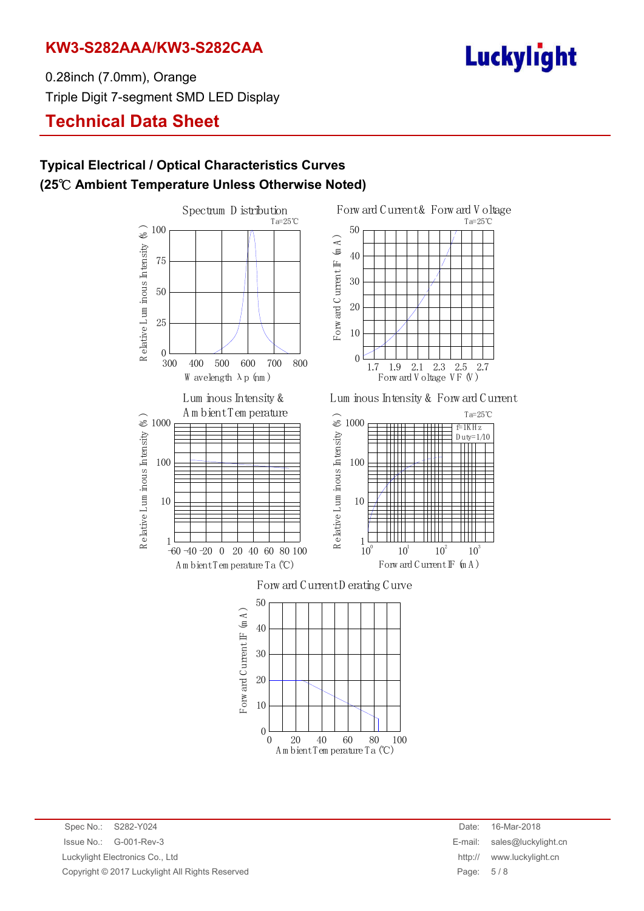# **Luckylight**

0.28inch (7.0mm), Orange Triple Digit 7-segment SMD LED Display

# **Technical Data Sheet**

## **Typical Electrical / Optical Characteristics Curves (25**℃ **Ambient Temperature Unless Otherwise Noted)**

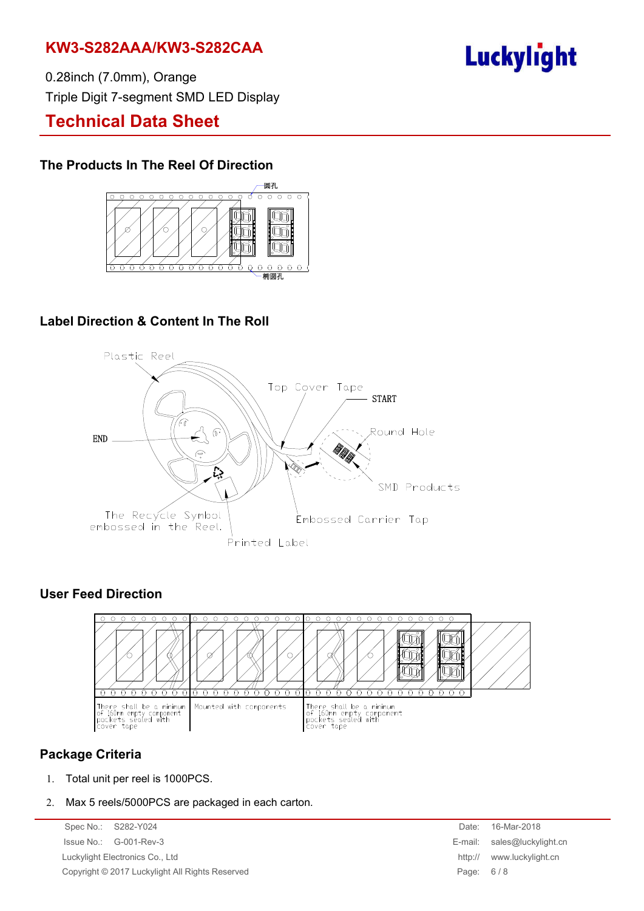# **Luckylight**

0.28inch (7.0mm), Orange Triple Digit 7-segment SMD LED Display

# **Technical Data Sheet**

## **The Products In The Reel Of Direction**



## **Label Direction & Content In The Roll**



## **User Feed Direction**



## **Package Criteria**

- 1. Total unit per reel is 1000PCS.
- 2. Max 5 reels/5000PCS are packaged in each carton.

Spec No.: S282-Y024 Issue No.: G-001-Rev-3 Luckylight Electronics Co., Ltd. Copyright © 2017 Luckylight All Rights Reserved

| Date:   | 16-Mar-2018         |
|---------|---------------------|
| E-mail: | sales@luckylight.cn |
| http:// | www.luckylight.cn   |
| Page:   | 6/8                 |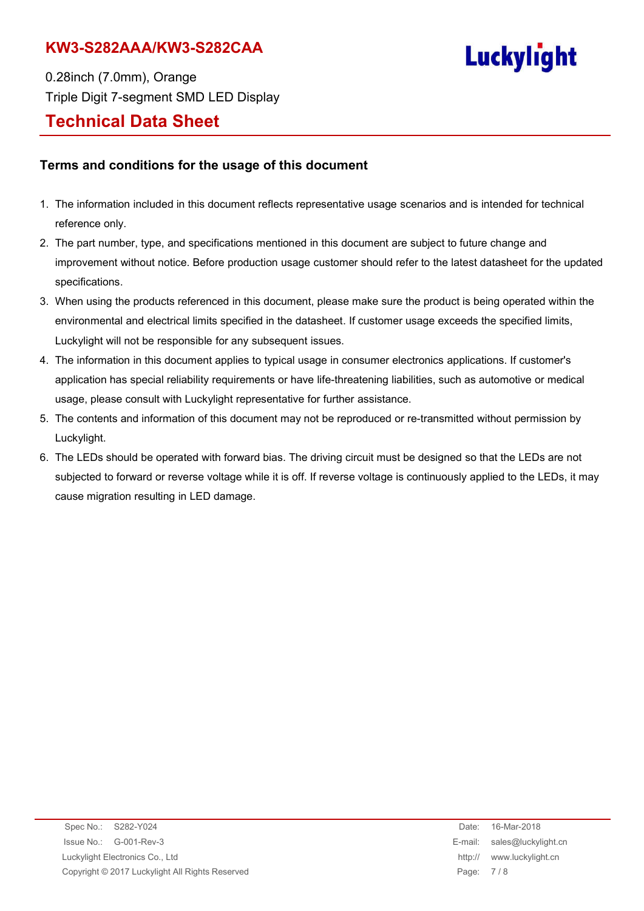# **Luckylight**

0.28inch (7.0mm), Orange Triple Digit 7-segment SMD LED Display **Technical Data Sheet**

### **Terms and conditions for the usage of this document**

- 1. The information included in this document reflects representative usage scenarios and is intended for technical reference only.
- 2. The part number, type, and specifications mentioned in this document are subject to future change and improvement without notice. Before production usage customer should refer to the latest datasheet for the updated specifications.
- 3. When using the products referenced in this document, please make sure the product is being operated within the environmental and electrical limits specified in the datasheet. If customer usage exceeds the specified limits, Luckylight will not be responsible for any subsequent issues.
- 4. The information in this document applies to typical usage in consumer electronics applications. If customer's application has special reliability requirements or have life-threatening liabilities, such as automotive or medical usage, please consult with Luckylight representative for further assistance.
- 5. The contents and information of this document may not be reproduced or re-transmitted without permission by Luckylight.
- 6. The LEDs should be operated with forward bias. The driving circuit must be designed so that the LEDs are not subjected to forward or reverse voltage while it is off. If reverse voltage is continuously applied to the LEDs, it may cause migration resulting in LED damage.